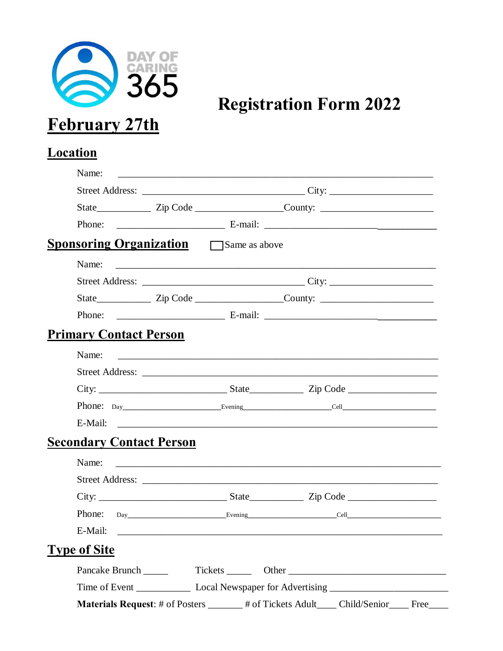

**Registration Form 2022** 

# Location

| Name:                                                                                                |                                                                                                                       |  |  |  |  |      |
|------------------------------------------------------------------------------------------------------|-----------------------------------------------------------------------------------------------------------------------|--|--|--|--|------|
|                                                                                                      |                                                                                                                       |  |  |  |  |      |
|                                                                                                      |                                                                                                                       |  |  |  |  |      |
|                                                                                                      |                                                                                                                       |  |  |  |  |      |
| <b>Sponsoring Organization</b> Same as above                                                         |                                                                                                                       |  |  |  |  |      |
| Name:                                                                                                |                                                                                                                       |  |  |  |  |      |
|                                                                                                      |                                                                                                                       |  |  |  |  |      |
| State___________________Zip Code ________________________County: ___________________________________ |                                                                                                                       |  |  |  |  |      |
|                                                                                                      |                                                                                                                       |  |  |  |  |      |
| <b>Primary Contact Person</b>                                                                        |                                                                                                                       |  |  |  |  |      |
| Name:                                                                                                | <u> 1980 - Johann Barnett, fransk politiker (d. 1980)</u>                                                             |  |  |  |  |      |
|                                                                                                      |                                                                                                                       |  |  |  |  |      |
|                                                                                                      |                                                                                                                       |  |  |  |  |      |
|                                                                                                      |                                                                                                                       |  |  |  |  |      |
|                                                                                                      |                                                                                                                       |  |  |  |  |      |
| <b>Secondary Contact Person</b>                                                                      |                                                                                                                       |  |  |  |  |      |
| Name:                                                                                                | <u> 1980 - Johann John Stone, markin fan de Amerikaansk kommunister op de Amerikaansk kommunister op de Amerikaan</u> |  |  |  |  |      |
|                                                                                                      |                                                                                                                       |  |  |  |  |      |
|                                                                                                      |                                                                                                                       |  |  |  |  |      |
|                                                                                                      |                                                                                                                       |  |  |  |  |      |
| E-Mail:                                                                                              |                                                                                                                       |  |  |  |  |      |
| <b>Type of Site</b>                                                                                  |                                                                                                                       |  |  |  |  |      |
|                                                                                                      |                                                                                                                       |  |  |  |  |      |
|                                                                                                      |                                                                                                                       |  |  |  |  |      |
| Materials Request: # of Posters ______# of Tickets Adult ____ Child/Senior___                        |                                                                                                                       |  |  |  |  | Free |